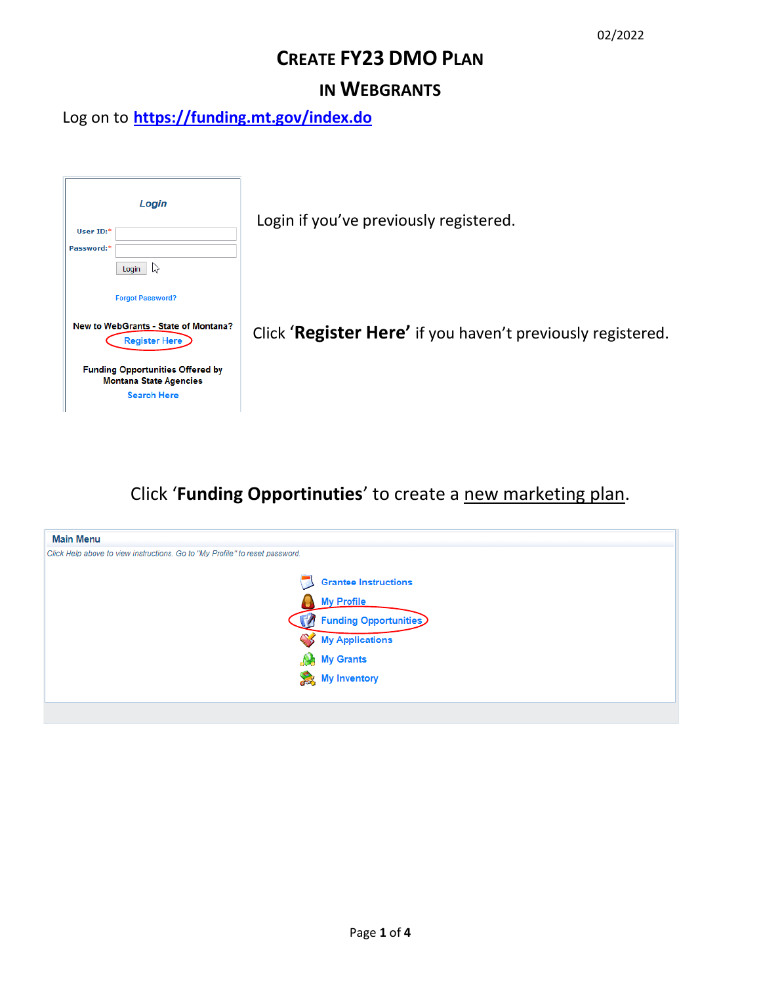# **CREATE FY23 DMO PLAN**

### **IN WEBGRANTS**

Log on to **<https://funding.mt.gov/index.do>**

| Login<br>User $ID:$ *<br>Password:*                                                                                                                            | Login if you've previously registered.                      |
|----------------------------------------------------------------------------------------------------------------------------------------------------------------|-------------------------------------------------------------|
| Login<br>W<br><b>Forgot Password?</b>                                                                                                                          |                                                             |
| New to WebGrants - State of Montana?<br><b>Register Here</b><br><b>Funding Opportunities Offered by</b><br><b>Montana State Agencies</b><br><b>Search Here</b> | Click 'Register Here' if you haven't previously registered. |

Click '**Funding Opportinuties**' to create a new marketing plan.

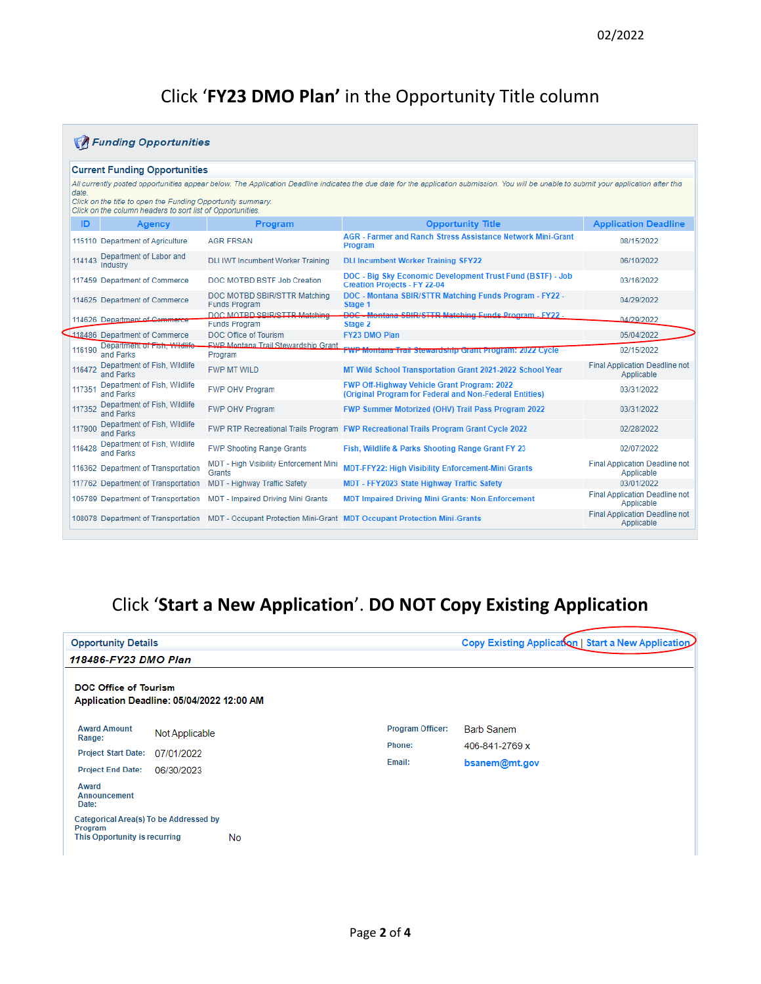## Click '**FY23 DMO Plan'** in the Opportunity Title column

### Funding Opportunities

#### **Current Funding Opportunities**

| date.  | All currently posted opportunities appear below. The Application Deadline indicates the due date for the application submission. You will be unable to submit your application after this<br>Click on the title to open the Funding Opportunity summary.<br>Click on the column headers to sort list of Opportunities. |                                                         |                                                                                                              |                                                     |  |  |
|--------|------------------------------------------------------------------------------------------------------------------------------------------------------------------------------------------------------------------------------------------------------------------------------------------------------------------------|---------------------------------------------------------|--------------------------------------------------------------------------------------------------------------|-----------------------------------------------------|--|--|
| ID     | Agency                                                                                                                                                                                                                                                                                                                 | Program                                                 | <b>Opportunity Title</b>                                                                                     | <b>Application Deadline</b>                         |  |  |
|        | 115110 Department of Agriculture                                                                                                                                                                                                                                                                                       | <b>AGR FRSAN</b>                                        | <b>AGR</b> - Farmer and Ranch Stress Assistance Network Mini-Grant<br>Program                                | 08/15/2022                                          |  |  |
| 114143 | Department of Labor and<br>Industry                                                                                                                                                                                                                                                                                    | <b>DLI IWT Incumbent Worker Training</b>                | <b>DLI Incumbent Worker Training SFY22</b>                                                                   | 06/10/2022                                          |  |  |
|        | 117459 Department of Commerce                                                                                                                                                                                                                                                                                          | DOC MOTBD BSTF Job Creation                             | DOC - Big Sky Economic Development Trust Fund (BSTF) - Job<br><b>Creation Projects - FY 22-04</b>            | 03/16/2022                                          |  |  |
|        | 114625 Department of Commerce                                                                                                                                                                                                                                                                                          | DOC MOTBD SBIR/STTR Matching<br><b>Funds Program</b>    | DOC - Montana SBIR/STTR Matching Funds Program - FY22 -<br>Stage 1                                           | 04/29/2022                                          |  |  |
|        | 114626 Department of Commerce                                                                                                                                                                                                                                                                                          | DOC MOTRD SBIR/STTR Matching                            | DOC Montana SPIR/STTR Matching Funds Program - FY22 -                                                        | 04/29/2022                                          |  |  |
|        | 118486 Department of Commerce                                                                                                                                                                                                                                                                                          | <b>Funds Program</b><br><b>DOC Office of Tourism</b>    | Stage 2<br><b>FY23 DMO Plan</b>                                                                              | 05/04/2022                                          |  |  |
|        | Department of Fish, Wildlife                                                                                                                                                                                                                                                                                           | <b>EWP Montana Trail Stewardship Grant</b>              |                                                                                                              |                                                     |  |  |
| 116190 | and Parks                                                                                                                                                                                                                                                                                                              | Program                                                 | FWP Montana Trail Stewardship Grant Program: 2022 Cycle                                                      | 02/15/2022                                          |  |  |
| 116472 | Department of Fish, Wildlife<br>and Parks                                                                                                                                                                                                                                                                              | <b>FWP MT WILD</b>                                      | MT Wild School Transportation Grant 2021-2022 School Year                                                    | <b>Final Application Deadline not</b><br>Applicable |  |  |
| 117351 | Department of Fish, Wildlife<br>and Parks                                                                                                                                                                                                                                                                              | <b>FWP OHV Program</b>                                  | FWP Off-Highway Vehicle Grant Program: 2022<br>(Original Program for Federal and Non-Federal Entities)       | 03/31/2022                                          |  |  |
| 117352 | Department of Fish, Wildlife<br>and Parks                                                                                                                                                                                                                                                                              | <b>FWP OHV Program</b>                                  | FWP Summer Motorized (OHV) Trail Pass Program 2022                                                           | 03/31/2022                                          |  |  |
| 117900 | Department of Fish, Wildlife<br>and Parks                                                                                                                                                                                                                                                                              |                                                         | FWP RTP Recreational Trails Program FWP Recreational Trails Program Grant Cycle 2022                         | 02/28/2022                                          |  |  |
| 116428 | Department of Fish, Wildlife<br>and Parks                                                                                                                                                                                                                                                                              | <b>FWP Shooting Range Grants</b>                        | Fish, Wildlife & Parks Shooting Range Grant FY 23                                                            | 02/07/2022                                          |  |  |
|        | 116362 Department of Transportation                                                                                                                                                                                                                                                                                    | <b>MDT</b> - High Visibility Enforcement Mini<br>Grants | <b>MDT-FFY22: High Visibility Enforcement-Mini Grants</b>                                                    | <b>Final Application Deadline not</b><br>Applicable |  |  |
|        | 117762 Department of Transportation                                                                                                                                                                                                                                                                                    | <b>MDT</b> - Highway Traffic Safety                     | MDT - FFY2023 State Highway Traffic Safety                                                                   | 03/01/2022                                          |  |  |
|        | 105789 Department of Transportation                                                                                                                                                                                                                                                                                    | <b>MDT</b> - Impaired Driving Mini Grants               | <b>MDT Impaired Driving Mini Grants: Non-Enforcement</b>                                                     | <b>Final Application Deadline not</b><br>Applicable |  |  |
|        |                                                                                                                                                                                                                                                                                                                        |                                                         | 108078 Department of Transportation MDT - Occupant Protection Mini-Grant MDT Occupant Protection Mini-Grants | <b>Final Application Deadline not</b><br>Applicable |  |  |

## Click '**Start a New Application**'. **DO NOT Copy Existing Application**

| <b>Opportunity Details</b>                                                         |                |    |                  | Copy Existing Application   Start a New Application |
|------------------------------------------------------------------------------------|----------------|----|------------------|-----------------------------------------------------|
| 118486-FY23 DMO Plan                                                               |                |    |                  |                                                     |
| <b>DOC Office of Tourism</b><br>Application Deadline: 05/04/2022 12:00 AM          |                |    |                  |                                                     |
| <b>Award Amount</b><br>Range:                                                      | Not Applicable |    | Program Officer: | <b>Barb Sanem</b>                                   |
| <b>Project Start Date:</b>                                                         | 07/01/2022     |    | Phone:           | 406-841-2769 x                                      |
| <b>Project End Date:</b>                                                           | 06/30/2023     |    | Email:           | bsanem@mt.gov                                       |
| Award<br>Announcement<br>Date:                                                     |                |    |                  |                                                     |
| Categorical Area(s) To be Addressed by<br>Program<br>This Opportunity is recurring |                | No |                  |                                                     |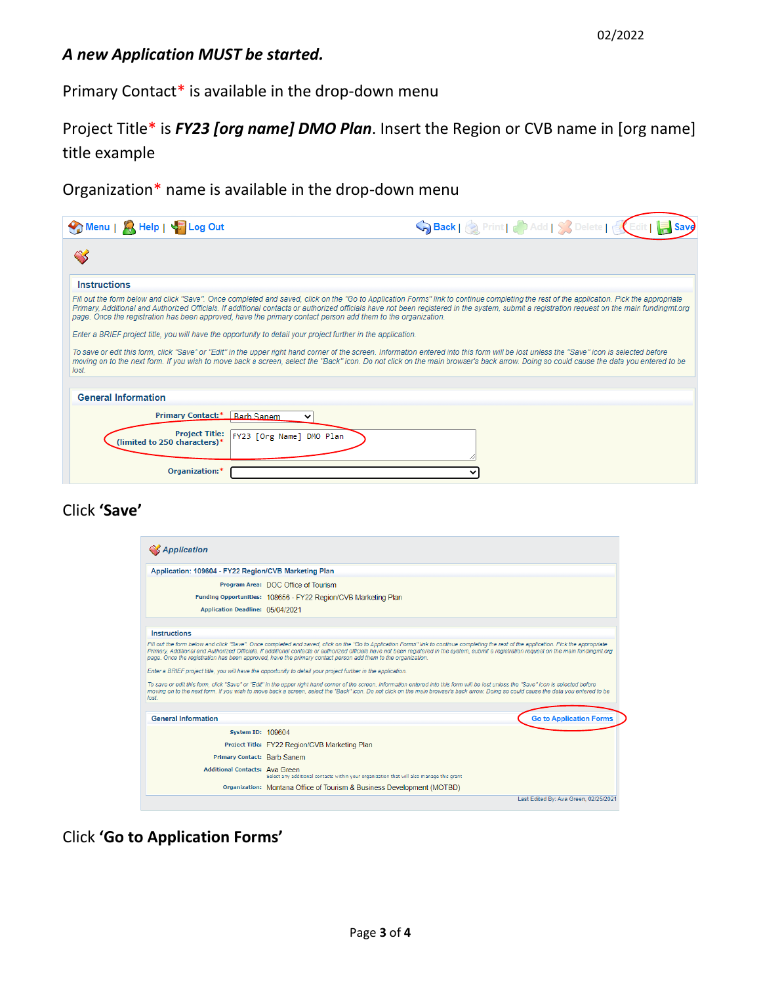### *A new Application MUST be started.*

Primary Contact\* is available in the drop-down menu

Project Title\* is *FY23 [org name] DMO Plan*. Insert the Region or CVB name in [org name] title example

Organization\* name is available in the drop-down menu

| Menu   A Help   C Log Out                                                                                                                                                                                                                                                                                                                                                                                                                                                                                | SBack   Print   Add   Solete   Edit |
|----------------------------------------------------------------------------------------------------------------------------------------------------------------------------------------------------------------------------------------------------------------------------------------------------------------------------------------------------------------------------------------------------------------------------------------------------------------------------------------------------------|-------------------------------------|
|                                                                                                                                                                                                                                                                                                                                                                                                                                                                                                          |                                     |
| <b>Instructions</b>                                                                                                                                                                                                                                                                                                                                                                                                                                                                                      |                                     |
| Fill out the form below and click "Save". Once completed and saved, click on the "Go to Application Forms" link to continue completing the rest of the application. Pick the appropriate<br>Primary, Additional and Authorized Officials, If additional contacts or authorized officials have not been registered in the system, submit a registration request on the main fundingmt.org<br>page. Once the registration has been approved, have the primary contact person add them to the organization. |                                     |
| Enter a BRIEF project title, you will have the opportunity to detail your project further in the application.                                                                                                                                                                                                                                                                                                                                                                                            |                                     |
| To save or edit this form, click "Save" or "Edit" in the upper right hand corner of the screen. Information entered into this form will be lost unless the "Save" icon is selected before<br>moving on to the next form. If you wish to move back a screen, select the "Back" icon. Do not click on the main browser's back arrow. Doing so could cause the data you entered to be<br>lost.                                                                                                              |                                     |
| <b>General Information</b>                                                                                                                                                                                                                                                                                                                                                                                                                                                                               |                                     |
| Primary Contact:* Barb Sanem<br>$\checkmark$                                                                                                                                                                                                                                                                                                                                                                                                                                                             |                                     |
| <b>Project Title:</b><br>FY23 [Org Name] DMO Plan<br>(limited to 250 characters)*                                                                                                                                                                                                                                                                                                                                                                                                                        |                                     |
| Organization:*                                                                                                                                                                                                                                                                                                                                                                                                                                                                                           |                                     |

### Click **'Save'**

| Application: 109604 - FY22 Region/CVB Marketing Plan |                                                                                                                                                                                                                                                                                                                                                                                          |  |  |
|------------------------------------------------------|------------------------------------------------------------------------------------------------------------------------------------------------------------------------------------------------------------------------------------------------------------------------------------------------------------------------------------------------------------------------------------------|--|--|
|                                                      | Program Area: DOC Office of Tourism                                                                                                                                                                                                                                                                                                                                                      |  |  |
|                                                      | Funding Opportunities: 108656 - FY22 Region/CVB Marketing Plan                                                                                                                                                                                                                                                                                                                           |  |  |
| Application Deadline: 05/04/2021                     |                                                                                                                                                                                                                                                                                                                                                                                          |  |  |
| Instructions                                         |                                                                                                                                                                                                                                                                                                                                                                                          |  |  |
|                                                      | Fill out the form below and click "Save". Once completed and saved, click on the "Go to Application Forms" link to continue completing the rest of the application. Pick the appropriate<br>Primary, Additional and Authorized Officials, If additional contacts or authorized officials have not been registered in the system, submit a registration request on the main fundingmt.org |  |  |
|                                                      | page. Once the registration has been approved, have the primary contact person add them to the organization.                                                                                                                                                                                                                                                                             |  |  |
|                                                      | Enter a BRIEF project title, you will have the opportunity to detail your project further in the application.                                                                                                                                                                                                                                                                            |  |  |
|                                                      | To save or edit this form, click "Save" or "Edit" in the upper right hand corner of the screen, Information entered into this form will be lost unless the "Save" icon is selected before<br>moving on to the next form. If you wish to move back a screen, select the "Back" icon. Do not click on the main browser's back arrow. Doing so could cause the data you entered to be       |  |  |
| <b>General Information</b>                           | <b>Go to Application Forms</b>                                                                                                                                                                                                                                                                                                                                                           |  |  |
| System ID: 109604                                    |                                                                                                                                                                                                                                                                                                                                                                                          |  |  |
|                                                      | Project Title: FY22 Region/CVB Marketing Plan                                                                                                                                                                                                                                                                                                                                            |  |  |
| Primary Contact: Barb Sanem                          |                                                                                                                                                                                                                                                                                                                                                                                          |  |  |
| lost.<br><b>Additional Contacts: Ava Green</b>       | Select any additional contacts within your organization that will also manage this grant                                                                                                                                                                                                                                                                                                 |  |  |

Click **'Go to Application Forms'**